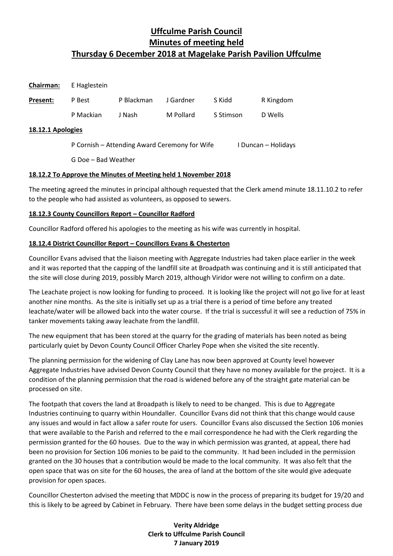| Chairman: | E Haglestein |            |           |           |           |
|-----------|--------------|------------|-----------|-----------|-----------|
| Present:  | P Best       | P Blackman | J Gardner | S Kidd    | R Kingdom |
|           | P Mackian    | J Nash     | M Pollard | S Stimson | D Wells   |

### **18.12.1 Apologies**

P Cornish – Attending Award Ceremony for Wife I Duncan – Holidays

G Doe – Bad Weather

# **18.12.2 To Approve the Minutes of Meeting held 1 November 2018**

The meeting agreed the minutes in principal although requested that the Clerk amend minute 18.11.10.2 to refer to the people who had assisted as volunteers, as opposed to sewers.

# **18.12.3 County Councillors Report – Councillor Radford**

Councillor Radford offered his apologies to the meeting as his wife was currently in hospital.

# **18.12.4 District Councillor Report – Councillors Evans & Chesterton**

Councillor Evans advised that the liaison meeting with Aggregate Industries had taken place earlier in the week and it was reported that the capping of the landfill site at Broadpath was continuing and it is still anticipated that the site will close during 2019, possibly March 2019, although Viridor were not willing to confirm on a date.

The Leachate project is now looking for funding to proceed. It is looking like the project will not go live for at least another nine months. As the site is initially set up as a trial there is a period of time before any treated leachate/water will be allowed back into the water course. If the trial is successful it will see a reduction of 75% in tanker movements taking away leachate from the landfill.

The new equipment that has been stored at the quarry for the grading of materials has been noted as being particularly quiet by Devon County Council Officer Charley Pope when she visited the site recently.

The planning permission for the widening of Clay Lane has now been approved at County level however Aggregate Industries have advised Devon County Council that they have no money available for the project. It is a condition of the planning permission that the road is widened before any of the straight gate material can be processed on site.

The footpath that covers the land at Broadpath is likely to need to be changed. This is due to Aggregate Industries continuing to quarry within Houndaller. Councillor Evans did not think that this change would cause any issues and would in fact allow a safer route for users. Councillor Evans also discussed the Section 106 monies that were available to the Parish and referred to the e mail correspondence he had with the Clerk regarding the permission granted for the 60 houses. Due to the way in which permission was granted, at appeal, there had been no provision for Section 106 monies to be paid to the community. It had been included in the permission granted on the 30 houses that a contribution would be made to the local community. It was also felt that the open space that was on site for the 60 houses, the area of land at the bottom of the site would give adequate provision for open spaces.

Councillor Chesterton advised the meeting that MDDC is now in the process of preparing its budget for 19/20 and this is likely to be agreed by Cabinet in February. There have been some delays in the budget setting process due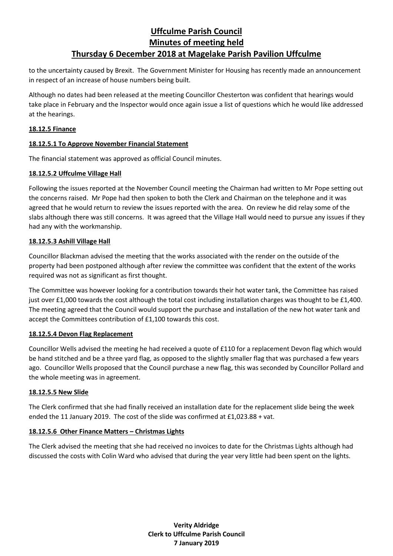to the uncertainty caused by Brexit. The Government Minister for Housing has recently made an announcement in respect of an increase of house numbers being built.

Although no dates had been released at the meeting Councillor Chesterton was confident that hearings would take place in February and the Inspector would once again issue a list of questions which he would like addressed at the hearings.

### **18.12.5 Finance**

# **18.12.5.1 To Approve November Financial Statement**

The financial statement was approved as official Council minutes.

# **18.12.5.2 Uffculme Village Hall**

Following the issues reported at the November Council meeting the Chairman had written to Mr Pope setting out the concerns raised. Mr Pope had then spoken to both the Clerk and Chairman on the telephone and it was agreed that he would return to review the issues reported with the area. On review he did relay some of the slabs although there was still concerns. It was agreed that the Village Hall would need to pursue any issues if they had any with the workmanship.

# **18.12.5.3 Ashill Village Hall**

Councillor Blackman advised the meeting that the works associated with the render on the outside of the property had been postponed although after review the committee was confident that the extent of the works required was not as significant as first thought.

The Committee was however looking for a contribution towards their hot water tank, the Committee has raised just over £1,000 towards the cost although the total cost including installation charges was thought to be £1,400. The meeting agreed that the Council would support the purchase and installation of the new hot water tank and accept the Committees contribution of £1,100 towards this cost.

# **18.12.5.4 Devon Flag Replacement**

Councillor Wells advised the meeting he had received a quote of £110 for a replacement Devon flag which would be hand stitched and be a three yard flag, as opposed to the slightly smaller flag that was purchased a few years ago. Councillor Wells proposed that the Council purchase a new flag, this was seconded by Councillor Pollard and the whole meeting was in agreement.

# **18.12.5.5 New Slide**

The Clerk confirmed that she had finally received an installation date for the replacement slide being the week ended the 11 January 2019. The cost of the slide was confirmed at £1,023.88 + vat.

# **18.12.5.6 Other Finance Matters – Christmas Lights**

The Clerk advised the meeting that she had received no invoices to date for the Christmas Lights although had discussed the costs with Colin Ward who advised that during the year very little had been spent on the lights.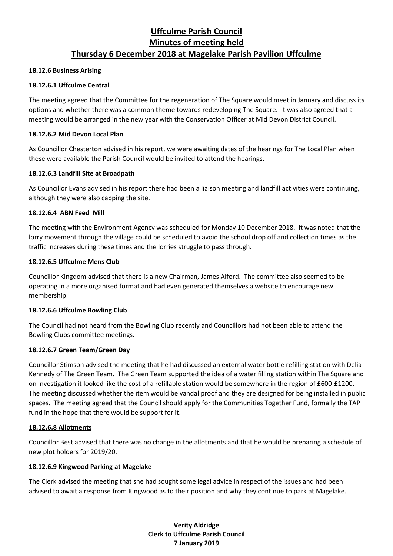#### **18.12.6 Business Arising**

# **18.12.6.1 Uffculme Central**

The meeting agreed that the Committee for the regeneration of The Square would meet in January and discuss its options and whether there was a common theme towards redeveloping The Square. It was also agreed that a meeting would be arranged in the new year with the Conservation Officer at Mid Devon District Council.

# **18.12.6.2 Mid Devon Local Plan**

As Councillor Chesterton advised in his report, we were awaiting dates of the hearings for The Local Plan when these were available the Parish Council would be invited to attend the hearings.

### **18.12.6.3 Landfill Site at Broadpath**

As Councillor Evans advised in his report there had been a liaison meeting and landfill activities were continuing, although they were also capping the site.

### **18.12.6.4 ABN Feed Mill**

The meeting with the Environment Agency was scheduled for Monday 10 December 2018. It was noted that the lorry movement through the village could be scheduled to avoid the school drop off and collection times as the traffic increases during these times and the lorries struggle to pass through.

### **18.12.6.5 Uffculme Mens Club**

Councillor Kingdom advised that there is a new Chairman, James Alford. The committee also seemed to be operating in a more organised format and had even generated themselves a website to encourage new membership.

# **18.12.6.6 Uffculme Bowling Club**

The Council had not heard from the Bowling Club recently and Councillors had not been able to attend the Bowling Clubs committee meetings.

# **18.12.6.7 Green Team/Green Day**

Councillor Stimson advised the meeting that he had discussed an external water bottle refilling station with Delia Kennedy of The Green Team. The Green Team supported the idea of a water filling station within The Square and on investigation it looked like the cost of a refillable station would be somewhere in the region of £600-£1200. The meeting discussed whether the item would be vandal proof and they are designed for being installed in public spaces. The meeting agreed that the Council should apply for the Communities Together Fund, formally the TAP fund in the hope that there would be support for it.

#### **18.12.6.8 Allotments**

Councillor Best advised that there was no change in the allotments and that he would be preparing a schedule of new plot holders for 2019/20.

#### **18.12.6.9 Kingwood Parking at Magelake**

The Clerk advised the meeting that she had sought some legal advice in respect of the issues and had been advised to await a response from Kingwood as to their position and why they continue to park at Magelake.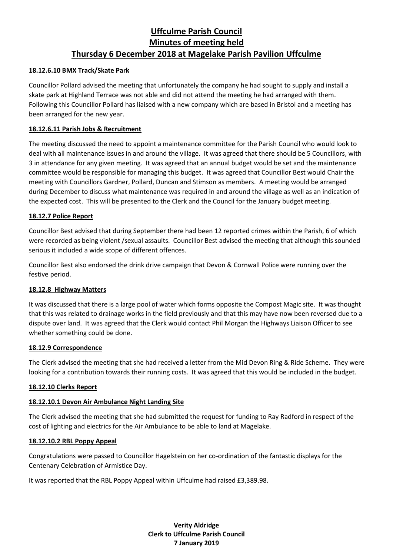## **18.12.6.10 BMX Track/Skate Park**

Councillor Pollard advised the meeting that unfortunately the company he had sought to supply and install a skate park at Highland Terrace was not able and did not attend the meeting he had arranged with them. Following this Councillor Pollard has liaised with a new company which are based in Bristol and a meeting has been arranged for the new year.

#### **18.12.6.11 Parish Jobs & Recruitment**

The meeting discussed the need to appoint a maintenance committee for the Parish Council who would look to deal with all maintenance issues in and around the village. It was agreed that there should be 5 Councillors, with 3 in attendance for any given meeting. It was agreed that an annual budget would be set and the maintenance committee would be responsible for managing this budget. It was agreed that Councillor Best would Chair the meeting with Councillors Gardner, Pollard, Duncan and Stimson as members. A meeting would be arranged during December to discuss what maintenance was required in and around the village as well as an indication of the expected cost. This will be presented to the Clerk and the Council for the January budget meeting.

### **18.12.7 Police Report**

Councillor Best advised that during September there had been 12 reported crimes within the Parish, 6 of which were recorded as being violent /sexual assaults. Councillor Best advised the meeting that although this sounded serious it included a wide scope of different offences.

Councillor Best also endorsed the drink drive campaign that Devon & Cornwall Police were running over the festive period.

#### **18.12.8 Highway Matters**

It was discussed that there is a large pool of water which forms opposite the Compost Magic site. It was thought that this was related to drainage works in the field previously and that this may have now been reversed due to a dispute over land. It was agreed that the Clerk would contact Phil Morgan the Highways Liaison Officer to see whether something could be done.

#### **18.12.9 Correspondence**

The Clerk advised the meeting that she had received a letter from the Mid Devon Ring & Ride Scheme. They were looking for a contribution towards their running costs. It was agreed that this would be included in the budget.

#### **18.12.10 Clerks Report**

#### **18.12.10.1 Devon Air Ambulance Night Landing Site**

The Clerk advised the meeting that she had submitted the request for funding to Ray Radford in respect of the cost of lighting and electrics for the Air Ambulance to be able to land at Magelake.

#### **18.12.10.2 RBL Poppy Appeal**

Congratulations were passed to Councillor Hagelstein on her co-ordination of the fantastic displays for the Centenary Celebration of Armistice Day.

It was reported that the RBL Poppy Appeal within Uffculme had raised £3,389.98.